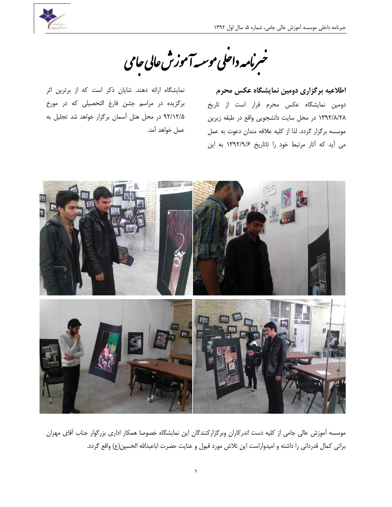

خبرنامه داحلی موسیهآموزش عالی حامی ل

اطلاعیه برگزاری دومین نمایشگاه عکس محرم دومین نمایشگاه عکس محرم قرار است از تاریخ ١٣٩٢/٨/٢٨ در محل سایت دانشجویی واقع در طبقه زیرین موسسه برگزار گردد. لذا از کلیه علاقه مندان دعوت به عمل می آید که آثار مرتبط خود را تاتاریخ ١٣٩٢/٩/۶ به این

نمایشگاه ارائه دهند. شایان ذکر است که از برترین اثر برگزيده در مراسم جشن فارغ التحصیلی که در مورخ ٩٢/١٢/۵ در محل هتل آسمان برگزار خواهد شد تجلیل به عمل خواهد آمد.



موسسه آموزش عالی جامی از کلیه دست اندرکاران وبرگزارکنندگان این نمایشگاه خصوصا همکار اداری بزرگوار جناب آقای مهران براتی کمال قدردانی را داشته و امیدواراست این تلاش مورد قبول و عنایت حضرت اباعبدالله الحسین(ع) واقع گردد.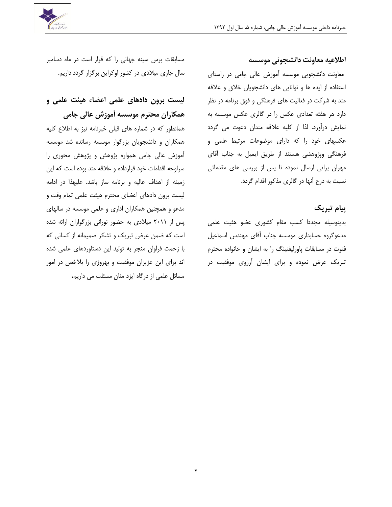

### اطلاعیه معاونت دانشجوئی موسسه

معاونت دانشجویی موسسه آموزش عالی جامی در راستای استفاده از ایده ها و توانایی های دانشجویان خلاق و علاقه مند به شرکت در فعالیت های فرهنگی و فوق برنامه در نظر دارد هر هفته تعدادی عکس را در گالری عکس موسسه به نمایش درآورد. لذا از کلیه علاقه مندان دعوت می گردد عکسهای خود را که دارای موضوعات مرتبط علمی و فرهنگی وپژوهشی هستند از طریق ایمیل به جناب آقای مهران براتی ارسال نموده تا پس از بررسی های مقدماتی نسبت به درج آنها در گالری مذکور اقدام گردد.

### **پیبم تبزیک**

بدینوسیله مجددا کسب مقام کشوری عضو هئیت علمی مدعوگروه حسابداری موسسه جناب آقای مهندس اسماعیل فتوت در مسابقات پاورلیفتینگ را به ایشان و خانواده محترم تبریک عرض نموده و برای ایشان آرزوی موفقیت در

مسابقات پرس سینه جهانی را که قرار است در ماه دسامبر سال جاری میلادی در کشور اوکراین برگزار گردد داریم.

# **لیست بزين دادَبی علمی اعضبء َیئت علمی ي**  همکاران محترم موسسه آموزش عالی جامی

همانطور که در شماره های قبلی خبرنامه نیز به اطلاع کلیه همکاران و دانشجویان بزرگوار موسسه رسانده شد موسسه آموزش عالی جامی همواره پژوهش و پژوهش محوری را سرلوحه اقدامات خود قرارداده و علاقه مند بوده است که این زمینه از اهداف عالیه و برنامه ساز باشد. علیهذا در ادامه لیست برون دادهای اعضای محترم هیئت علمی تمام وقت و مدعو و همچنین همکاران اداری و علمی موسسه در سالهای پس از ۲۰۱۱ میلادی به حضور نورانی بزرگواران ارائه شده است که ضمن عرض تبریک و تشکر صمیمانه از کسانی که با زحمت فراوان منجر به تولید این دستاوردهای علمی شده اند برای این عزیزان موفقیت و بهروزی را بلاخص در امور مسائل علمی از درگاه ایزد منان مسئلت می داری<del>م</del>.